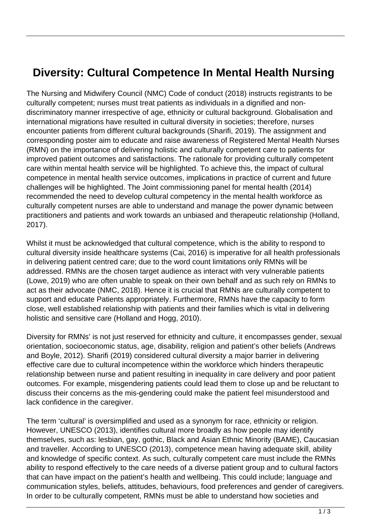## **Diversity: Cultural Competence In Mental Health Nursing**

The Nursing and Midwifery Council (NMC) Code of conduct (2018) instructs registrants to be culturally competent; nurses must treat patients as individuals in a dignified and nondiscriminatory manner irrespective of age, ethnicity or cultural background. Globalisation and international migrations have resulted in cultural diversity in societies; therefore, nurses encounter patients from different cultural backgrounds (Sharifi, 2019). The assignment and corresponding poster aim to educate and raise awareness of Registered Mental Health Nurses (RMN) on the importance of delivering holistic and culturally competent care to patients for improved patient outcomes and satisfactions. The rationale for providing culturally competent care within mental health service will be highlighted. To achieve this, the impact of cultural competence in mental health service outcomes, implications in practice of current and future challenges will be highlighted. The Joint commissioning panel for mental health (2014) recommended the need to develop cultural competency in the mental health workforce as culturally competent nurses are able to understand and manage the power dynamic between practitioners and patients and work towards an unbiased and therapeutic relationship (Holland, 2017).

Whilst it must be acknowledged that cultural competence, which is the ability to respond to cultural diversity inside healthcare systems (Cai, 2016) is imperative for all health professionals in delivering patient centred care; due to the word count limitations only RMNs will be addressed. RMNs are the chosen target audience as interact with very vulnerable patients (Lowe, 2019) who are often unable to speak on their own behalf and as such rely on RMNs to act as their advocate (NMC, 2018). Hence it is crucial that RMNs are culturally competent to support and educate Patients appropriately. Furthermore, RMNs have the capacity to form close, well established relationship with patients and their families which is vital in delivering holistic and sensitive care (Holland and Hogg, 2010).

Diversity for RMNs' is not just reserved for ethnicity and culture, it encompasses gender, sexual orientation, socioeconomic status, age, disability, religion and patient's other beliefs (Andrews and Boyle, 2012). Sharifi (2019) considered cultural diversity a major barrier in delivering effective care due to cultural incompetence within the workforce which hinders therapeutic relationship between nurse and patient resulting in inequality in care delivery and poor patient outcomes. For example, misgendering patients could lead them to close up and be reluctant to discuss their concerns as the mis-gendering could make the patient feel misunderstood and lack confidence in the caregiver.

The term 'cultural' is oversimplified and used as a synonym for race, ethnicity or religion. However, UNESCO (2013), identifies cultural more broadly as how people may identify themselves, such as: lesbian, gay, gothic, Black and Asian Ethnic Minority (BAME), Caucasian and traveller. According to UNESCO (2013), competence mean having adequate skill, ability and knowledge of specific context. As such, culturally competent care must include the RMNs ability to respond effectively to the care needs of a diverse patient group and to cultural factors that can have impact on the patient's health and wellbeing. This could include; language and communication styles, beliefs, attitudes, behaviours, food preferences and gender of caregivers. In order to be culturally competent, RMNs must be able to understand how societies and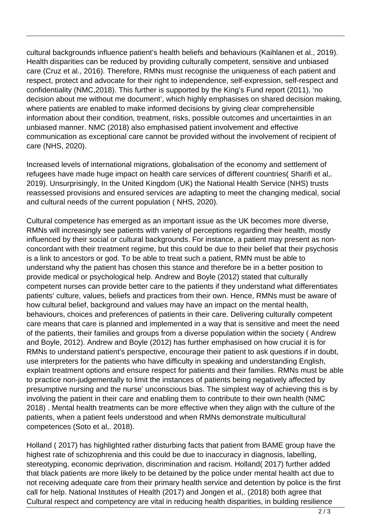cultural backgrounds influence patient's health beliefs and behaviours (Kaihlanen et al., 2019). Health disparities can be reduced by providing culturally competent, sensitive and unbiased care (Cruz et al., 2016). Therefore, RMNs must recognise the uniqueness of each patient and respect, protect and advocate for their right to independence, self-expression, self-respect and confidentiality (NMC,2018). This further is supported by the King's Fund report (2011), 'no decision about me without me document', which highly emphasises on shared decision making, where patients are enabled to make informed decisions by giving clear comprehensible information about their condition, treatment, risks, possible outcomes and uncertainties in an unbiased manner. NMC (2018) also emphasised patient involvement and effective communication as exceptional care cannot be provided without the involvement of recipient of care (NHS, 2020).

Increased levels of international migrations, globalisation of the economy and settlement of refugees have made huge impact on health care services of different countries( Sharifi et al,. 2019). Unsurprisingly, In the United Kingdom (UK) the National Health Service (NHS) trusts reassessed provisions and ensured services are adapting to meet the changing medical, social and cultural needs of the current population ( NHS, 2020).

Cultural competence has emerged as an important issue as the UK becomes more diverse, RMNs will increasingly see patients with variety of perceptions regarding their health, mostly influenced by their social or cultural backgrounds. For instance, a patient may present as nonconcordant with their treatment regime, but this could be due to their belief that their psychosis is a link to ancestors or god. To be able to treat such a patient, RMN must be able to understand why the patient has chosen this stance and therefore be in a better position to provide medical or psychological help. Andrew and Boyle (2012) stated that culturally competent nurses can provide better care to the patients if they understand what differentiates patients' culture, values, beliefs and practices from their own. Hence, RMNs must be aware of how cultural belief, background and values may have an impact on the mental health, behaviours, choices and preferences of patients in their care. Delivering culturally competent care means that care is planned and implemented in a way that is sensitive and meet the need of the patients, their families and groups from a diverse population within the society ( Andrew and Boyle, 2012). Andrew and Boyle (2012) has further emphasised on how crucial it is for RMNs to understand patient's perspective, encourage their patient to ask questions if in doubt, use interpreters for the patients who have difficulty in speaking and understanding English, explain treatment options and ensure respect for patients and their families. RMNs must be able to practice non-judgementally to limit the instances of patients being negatively affected by presumptive nursing and the nurse' unconscious bias. The simplest way of achieving this is by involving the patient in their care and enabling them to contribute to their own health (NMC 2018) . Mental health treatments can be more effective when they align with the culture of the patients, when a patient feels understood and when RMNs demonstrate multicultural competences (Soto et al,. 2018).

Holland ( 2017) has highlighted rather disturbing facts that patient from BAME group have the highest rate of schizophrenia and this could be due to inaccuracy in diagnosis, labelling, stereotyping, economic deprivation, discrimination and racism. Holland( 2017) further added that black patients are more likely to be detained by the police under mental health act due to not receiving adequate care from their primary health service and detention by police is the first call for help. National Institutes of Health (2017) and Jongen et al,. (2018) both agree that Cultural respect and competency are vital in reducing health disparities, in building resilience